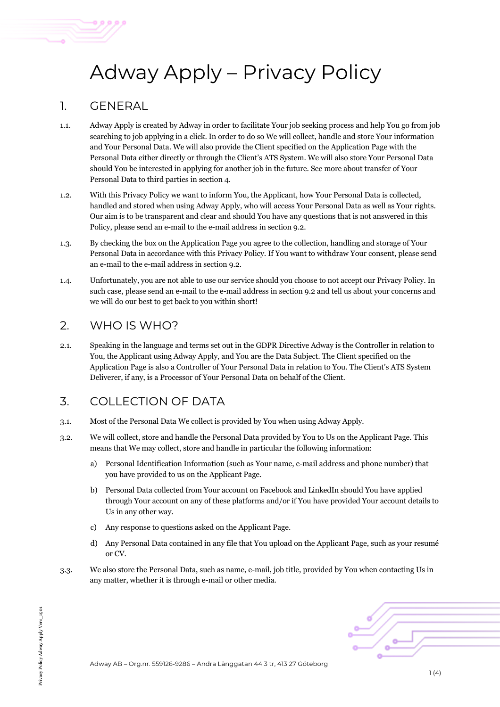# Adway Apply – Privacy Policy

#### 1. GENERAL

- 1.1. Adway Apply is created by Adway in order to facilitate Your job seeking process and help You go from job searching to job applying in a click. In order to do so We will collect, handle and store Your information and Your Personal Data. We will also provide the Client specified on the Application Page with the Personal Data either directly or through the Client's ATS System. We will also store Your Personal Data should You be interested in applying for another job in the future. See more about transfer of Your Personal Data to third parties in section 4.
- 1.2. With this Privacy Policy we want to inform You, the Applicant, how Your Personal Data is collected, handled and stored when using Adway Apply, who will access Your Personal Data as well as Your rights. Our aim is to be transparent and clear and should You have any questions that is not answered in this Policy, please send an e-mail to the e-mail address in section 9.2.
- 1.3. By checking the box on the Application Page you agree to the collection, handling and storage of Your Personal Data in accordance with this Privacy Policy. If You want to withdraw Your consent, please send an e-mail to the e-mail address in section 9.2.
- 1.4. Unfortunately, you are not able to use our service should you choose to not accept our Privacy Policy. In such case, please send an e-mail to the e-mail address in section 9.2 and tell us about your concerns and we will do our best to get back to you within short!

#### 2. WHO IS WHO?

2.1. Speaking in the language and terms set out in the GDPR Directive Adway is the Controller in relation to You, the Applicant using Adway Apply, and You are the Data Subject. The Client specified on the Application Page is also a Controller of Your Personal Data in relation to You. The Client's ATS System Deliverer, if any, is a Processor of Your Personal Data on behalf of the Client.

# 3. COLLECTION OF DATA

- 3.1. Most of the Personal Data We collect is provided by You when using Adway Apply.
- 3.2. We will collect, store and handle the Personal Data provided by You to Us on the Applicant Page. This means that We may collect, store and handle in particular the following information:
	- a) Personal Identification Information (such as Your name, e-mail address and phone number) that you have provided to us on the Applicant Page.
	- b) Personal Data collected from Your account on Facebook and LinkedIn should You have applied through Your account on any of these platforms and/or if You have provided Your account details to Us in any other way.
	- c) Any response to questions asked on the Applicant Page.
	- d) Any Personal Data contained in any file that You upload on the Applicant Page, such as your resumé or CV.
- 3.3. We also store the Personal Data, such as name, e-mail, job title, provided by You when contacting Us in any matter, whether it is through e-mail or other media.

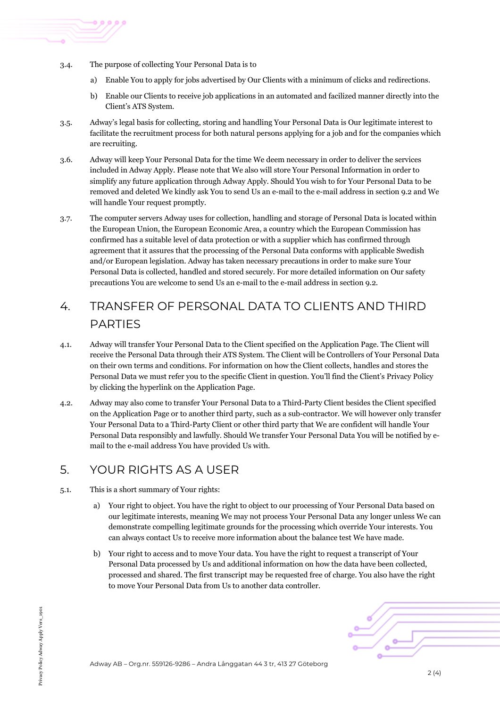- 3.4. The purpose of collecting Your Personal Data is to
	- a) Enable You to apply for jobs advertised by Our Clients with a minimum of clicks and redirections.
	- b) Enable our Clients to receive job applications in an automated and facilized manner directly into the Client's ATS System.
- 3.5. Adway's legal basis for collecting, storing and handling Your Personal Data is Our legitimate interest to facilitate the recruitment process for both natural persons applying for a job and for the companies which are recruiting.
- 3.6. Adway will keep Your Personal Data for the time We deem necessary in order to deliver the services included in Adway Apply. Please note that We also will store Your Personal Information in order to simplify any future application through Adway Apply. Should You wish to for Your Personal Data to be removed and deleted We kindly ask You to send Us an e-mail to the e-mail address in section 9.2 and We will handle Your request promptly.
- 3.7. The computer servers Adway uses for collection, handling and storage of Personal Data is located within the European Union, the European Economic Area, a country which the European Commission has confirmed has a suitable level of data protection or with a supplier which has confirmed through agreement that it assures that the processing of the Personal Data conforms with applicable Swedish and/or European legislation. Adway has taken necessary precautions in order to make sure Your Personal Data is collected, handled and stored securely. For more detailed information on Our safety precautions You are welcome to send Us an e-mail to the e-mail address in section 9.2.

# 4. TRANSFER OF PERSONAL DATA TO CLIENTS AND THIRD PARTIES

- 4.1. Adway will transfer Your Personal Data to the Client specified on the Application Page. The Client will receive the Personal Data through their ATS System. The Client will be Controllers of Your Personal Data on their own terms and conditions. For information on how the Client collects, handles and stores the Personal Data we must refer you to the specific Client in question. You'll find the Client's Privacy Policy by clicking the hyperlink on the Application Page.
- 4.2. Adway may also come to transfer Your Personal Data to a Third-Party Client besides the Client specified on the Application Page or to another third party, such as a sub-contractor. We will however only transfer Your Personal Data to a Third-Party Client or other third party that We are confident will handle Your Personal Data responsibly and lawfully. Should We transfer Your Personal Data You will be notified by email to the e-mail address You have provided Us with.

### 5. YOUR RIGHTS AS A USER

- 5.1. This is a short summary of Your rights:
	- a) Your right to object. You have the right to object to our processing of Your Personal Data based on our legitimate interests, meaning We may not process Your Personal Data any longer unless We can demonstrate compelling legitimate grounds for the processing which override Your interests. You can always contact Us to receive more information about the balance test We have made.
	- b) Your right to access and to move Your data. You have the right to request a transcript of Your Personal Data processed by Us and additional information on how the data have been collected, processed and shared. The first transcript may be requested free of charge. You also have the right to move Your Personal Data from Us to another data controller.

Adway AB – Org.nr. 559126-9286 – Andra Långgatan 44 3 tr, 413 27 Göteborg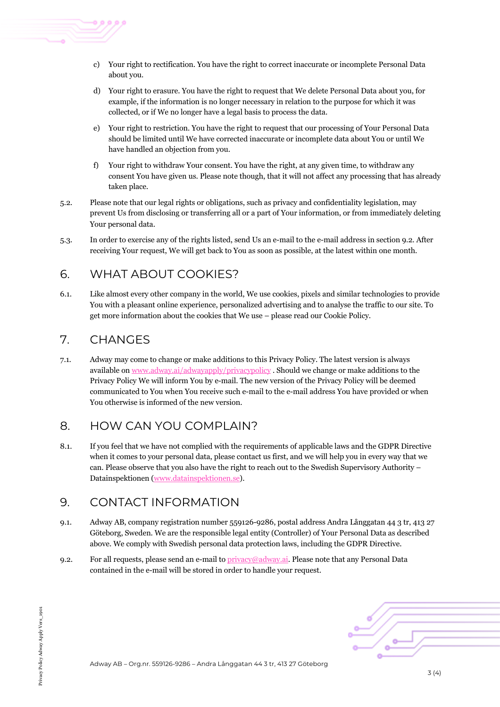

- c) Your right to rectification. You have the right to correct inaccurate or incomplete Personal Data about you.
- d) Your right to erasure. You have the right to request that We delete Personal Data about you, for example, if the information is no longer necessary in relation to the purpose for which it was collected, or if We no longer have a legal basis to process the data.
- e) Your right to restriction. You have the right to request that our processing of Your Personal Data should be limited until We have corrected inaccurate or incomplete data about You or until We have handled an objection from you.
- f) Your right to withdraw Your consent. You have the right, at any given time, to withdraw any consent You have given us. Please note though, that it will not affect any processing that has already taken place.
- 5.2. Please note that our legal rights or obligations, such as privacy and confidentiality legislation, may prevent Us from disclosing or transferring all or a part of Your information, or from immediately deleting Your personal data.
- 5.3. In order to exercise any of the rights listed, send Us an e-mail to the e-mail address in section 9.2. After receiving Your request, We will get back to You as soon as possible, at the latest within one month.

## 6. WHAT ABOUT COOKIES?

6.1. Like almost every other company in the world, We use cookies, pixels and similar technologies to provide You with a pleasant online experience, personalized advertising and to analyse the traffic to our site. To get more information about the cookies that We use – please read our Cookie Policy.

#### 7. CHANGES

7.1. Adway may come to change or make additions to this Privacy Policy. The latest version is always available on www.adway.ai/adwayapply/privacypolicy . Should we change or make additions to the Privacy Policy We will inform You by e-mail. The new version of the Privacy Policy will be deemed communicated to You when You receive such e-mail to the e-mail address You have provided or when You otherwise is informed of the new version.

### 8. HOW CAN YOU COMPLAIN?

8.1. If you feel that we have not complied with the requirements of applicable laws and the GDPR Directive when it comes to your personal data, please contact us first, and we will help you in every way that we can. Please observe that you also have the right to reach out to the Swedish Supervisory Authority – Datainspektionen (www.datainspektionen.se).

#### 9. CONTACT INFORMATION

- 9.1. Adway AB, company registration number 559126-9286, postal address Andra Långgatan 44 3 tr, 413 27 Göteborg, Sweden. We are the responsible legal entity (Controller) of Your Personal Data as described above. We comply with Swedish personal data protection laws, including the GDPR Directive.
- 9.2. For all requests, please send an e-mail to  $\frac{\text{privacy}}{\text{adv}}$  Please note that any Personal Data contained in the e-mail will be stored in order to handle your request.

Adway AB – Org.nr. 559126-9286 – Andra Långgatan 44 3 tr, 413 27 Göteborg